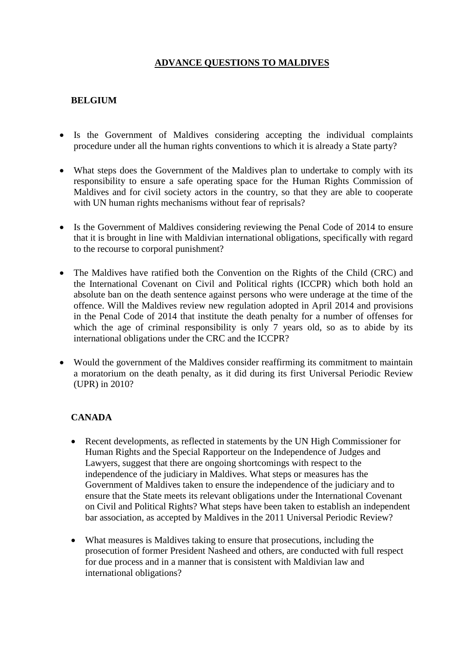## **ADVANCE QUESTIONS TO MALDIVES**

### **BELGIUM**

- Is the Government of Maldives considering accepting the individual complaints procedure under all the human rights conventions to which it is already a State party?
- What steps does the Government of the Maldives plan to undertake to comply with its responsibility to ensure a safe operating space for the Human Rights Commission of Maldives and for civil society actors in the country, so that they are able to cooperate with UN human rights mechanisms without fear of reprisals?
- Is the Government of Maldives considering reviewing the Penal Code of 2014 to ensure that it is brought in line with Maldivian international obligations, specifically with regard to the recourse to corporal punishment?
- The Maldives have ratified both the Convention on the Rights of the Child (CRC) and the International Covenant on Civil and Political rights (ICCPR) which both hold an absolute ban on the death sentence against persons who were underage at the time of the offence. Will the Maldives review new regulation adopted in April 2014 and provisions in the Penal Code of 2014 that institute the death penalty for a number of offenses for which the age of criminal responsibility is only 7 years old, so as to abide by its international obligations under the CRC and the ICCPR?
- Would the government of the Maldives consider reaffirming its commitment to maintain a moratorium on the death penalty, as it did during its first Universal Periodic Review (UPR) in 2010?

#### **CANADA**

- Recent developments, as reflected in statements by the UN High Commissioner for Human Rights and the Special Rapporteur on the Independence of Judges and Lawyers, suggest that there are ongoing shortcomings with respect to the independence of the judiciary in Maldives. What steps or measures has the Government of Maldives taken to ensure the independence of the judiciary and to ensure that the State meets its relevant obligations under the International Covenant on Civil and Political Rights? What steps have been taken to establish an independent bar association, as accepted by Maldives in the 2011 Universal Periodic Review?
- What measures is Maldives taking to ensure that prosecutions, including the prosecution of former President Nasheed and others, are conducted with full respect for due process and in a manner that is consistent with Maldivian law and international obligations?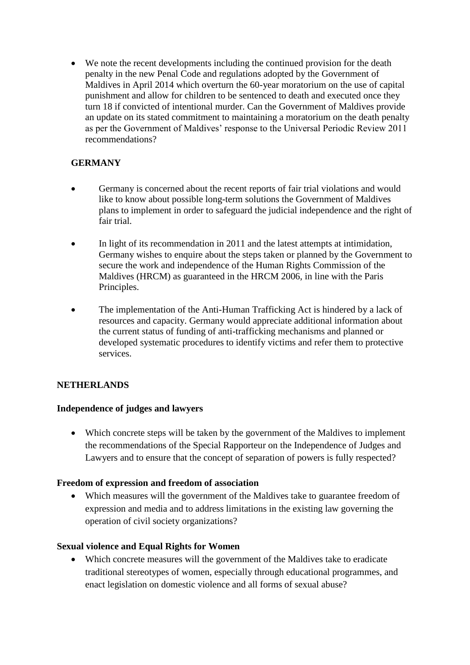We note the recent developments including the continued provision for the death penalty in the new Penal Code and regulations adopted by the Government of Maldives in April 2014 which overturn the 60-year moratorium on the use of capital punishment and allow for children to be sentenced to death and executed once they turn 18 if convicted of intentional murder. Can the Government of Maldives provide an update on its stated commitment to maintaining a moratorium on the death penalty as per the Government of Maldives' response to the Universal Periodic Review 2011 recommendations?

# **GERMANY**

- Germany is concerned about the recent reports of fair trial violations and would like to know about possible long-term solutions the Government of Maldives plans to implement in order to safeguard the judicial independence and the right of fair trial.
- In light of its recommendation in 2011 and the latest attempts at intimidation, Germany wishes to enquire about the steps taken or planned by the Government to secure the work and independence of the Human Rights Commission of the Maldives (HRCM) as guaranteed in the HRCM 2006, in line with the Paris Principles.
- The implementation of the Anti-Human Trafficking Act is hindered by a lack of resources and capacity. Germany would appreciate additional information about the current status of funding of anti-trafficking mechanisms and planned or developed systematic procedures to identify victims and refer them to protective services.

## **NETHERLANDS**

#### **Independence of judges and lawyers**

• Which concrete steps will be taken by the government of the Maldives to implement the recommendations of the Special Rapporteur on the Independence of Judges and Lawyers and to ensure that the concept of separation of powers is fully respected?

#### **Freedom of expression and freedom of association**

 Which measures will the government of the Maldives take to guarantee freedom of expression and media and to address limitations in the existing law governing the operation of civil society organizations?

#### **Sexual violence and Equal Rights for Women**

 Which concrete measures will the government of the Maldives take to eradicate traditional stereotypes of women, especially through educational programmes, and enact legislation on domestic violence and all forms of sexual abuse?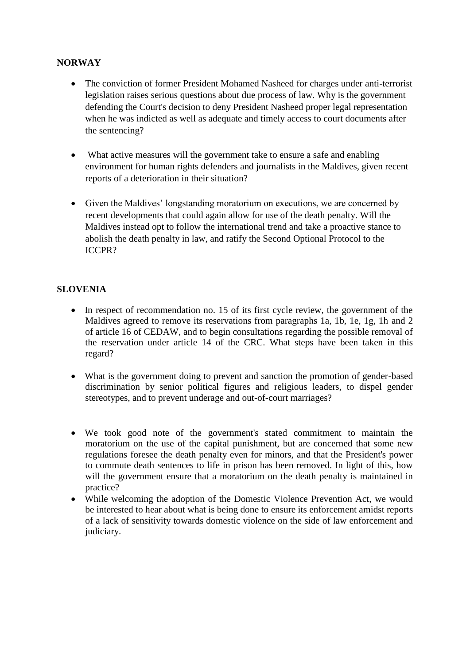## **NORWAY**

- The conviction of former President Mohamed Nasheed for charges under anti-terrorist legislation raises serious questions about due process of law. Why is the government defending the Court's decision to deny President Nasheed proper legal representation when he was indicted as well as adequate and timely access to court documents after the sentencing?
- What active measures will the government take to ensure a safe and enabling environment for human rights defenders and journalists in the Maldives, given recent reports of a deterioration in their situation?
- Given the Maldives' longstanding moratorium on executions, we are concerned by recent developments that could again allow for use of the death penalty. Will the Maldives instead opt to follow the international trend and take a proactive stance to abolish the death penalty in law, and ratify the Second Optional Protocol to the ICCPR?

## **SLOVENIA**

- In respect of recommendation no. 15 of its first cycle review, the government of the Maldives agreed to remove its reservations from paragraphs 1a, 1b, 1e, 1g, 1h and 2 of article 16 of CEDAW, and to begin consultations regarding the possible removal of the reservation under article 14 of the CRC. What steps have been taken in this regard?
- What is the government doing to prevent and sanction the promotion of gender-based discrimination by senior political figures and religious leaders, to dispel gender stereotypes, and to prevent underage and out-of-court marriages?
- We took good note of the government's stated commitment to maintain the moratorium on the use of the capital punishment, but are concerned that some new regulations foresee the death penalty even for minors, and that the President's power to commute death sentences to life in prison has been removed. In light of this, how will the government ensure that a moratorium on the death penalty is maintained in practice?
- While welcoming the adoption of the Domestic Violence Prevention Act, we would be interested to hear about what is being done to ensure its enforcement amidst reports of a lack of sensitivity towards domestic violence on the side of law enforcement and judiciary.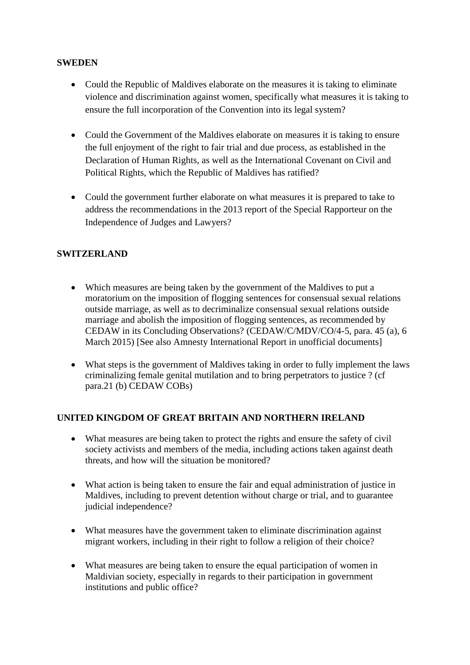#### **SWEDEN**

- Could the Republic of Maldives elaborate on the measures it is taking to eliminate violence and discrimination against women, specifically what measures it is taking to ensure the full incorporation of the Convention into its legal system?
- Could the Government of the Maldives elaborate on measures it is taking to ensure the full enjoyment of the right to fair trial and due process, as established in the Declaration of Human Rights, as well as the International Covenant on Civil and Political Rights, which the Republic of Maldives has ratified?
- Could the government further elaborate on what measures it is prepared to take to address the recommendations in the 2013 report of the Special Rapporteur on the Independence of Judges and Lawyers?

## **SWITZERLAND**

- Which measures are being taken by the government of the Maldives to put a moratorium on the imposition of flogging sentences for consensual sexual relations outside marriage, as well as to decriminalize consensual sexual relations outside marriage and abolish the imposition of flogging sentences, as recommended by CEDAW in its Concluding Observations? (CEDAW/C/MDV/CO/4-5, para. 45 (a), 6 March 2015) [See also Amnesty International Report in unofficial documents]
- What steps is the government of Maldives taking in order to fully implement the laws criminalizing female genital mutilation and to bring perpetrators to justice ? (cf para.21 (b) CEDAW COBs)

#### **UNITED KINGDOM OF GREAT BRITAIN AND NORTHERN IRELAND**

- What measures are being taken to protect the rights and ensure the safety of civil society activists and members of the media, including actions taken against death threats, and how will the situation be monitored?
- What action is being taken to ensure the fair and equal administration of justice in Maldives, including to prevent detention without charge or trial, and to guarantee judicial independence?
- What measures have the government taken to eliminate discrimination against migrant workers, including in their right to follow a religion of their choice?
- What measures are being taken to ensure the equal participation of women in Maldivian society, especially in regards to their participation in government institutions and public office?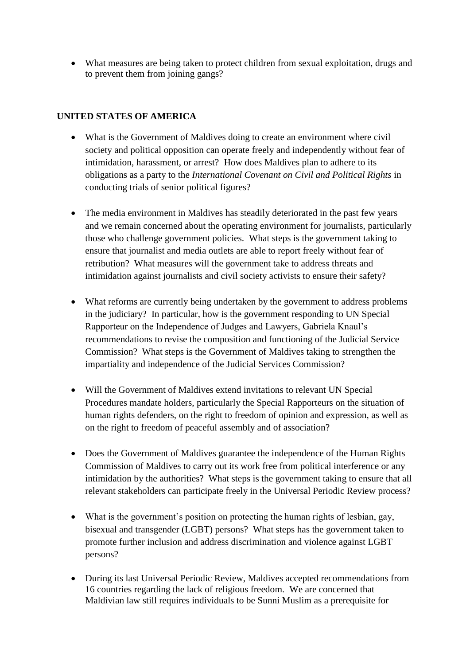What measures are being taken to protect children from sexual exploitation, drugs and to prevent them from joining gangs?

#### **UNITED STATES OF AMERICA**

- What is the Government of Maldives doing to create an environment where civil society and political opposition can operate freely and independently without fear of intimidation, harassment, or arrest? How does Maldives plan to adhere to its obligations as a party to the *International Covenant on Civil and Political Rights* in conducting trials of senior political figures?
- The media environment in Maldives has steadily deteriorated in the past few vears and we remain concerned about the operating environment for journalists, particularly those who challenge government policies. What steps is the government taking to ensure that journalist and media outlets are able to report freely without fear of retribution? What measures will the government take to address threats and intimidation against journalists and civil society activists to ensure their safety?
- What reforms are currently being undertaken by the government to address problems in the judiciary? In particular, how is the government responding to UN Special Rapporteur on the Independence of Judges and Lawyers, Gabriela Knaul's recommendations to revise the composition and functioning of the Judicial Service Commission? What steps is the Government of Maldives taking to strengthen the impartiality and independence of the Judicial Services Commission?
- Will the Government of Maldives extend invitations to relevant UN Special Procedures mandate holders, particularly the Special Rapporteurs on the situation of human rights defenders, on the right to freedom of opinion and expression, as well as on the right to freedom of peaceful assembly and of association?
- Does the Government of Maldives guarantee the independence of the Human Rights Commission of Maldives to carry out its work free from political interference or any intimidation by the authorities? What steps is the government taking to ensure that all relevant stakeholders can participate freely in the Universal Periodic Review process?
- What is the government's position on protecting the human rights of lesbian, gay, bisexual and transgender (LGBT) persons? What steps has the government taken to promote further inclusion and address discrimination and violence against LGBT persons?
- During its last Universal Periodic Review, Maldives accepted recommendations from 16 countries regarding the lack of religious freedom. We are concerned that Maldivian law still requires individuals to be Sunni Muslim as a prerequisite for